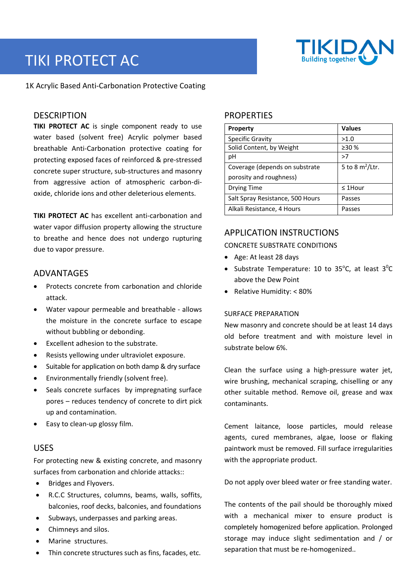# TIKI PROTECT AC



1K Acrylic Based Anti‐Carbonation Protective Coating

## **DESCRIPTION**

**TIKI PROTECT AC** is single component ready to use water based (solvent free) Acrylic polymer based breathable Anti‐Carbonation protective coating for protecting exposed faces of reinforced & pre‐stressed concrete super structure, sub‐structures and masonry from aggressive action of atmospheric carbon‐di‐ oxide, chloride ions and other deleterious elements.

**TIKI PROTECT AC** has excellent anti-carbonation and water vapor diffusion property allowing the structure to breathe and hence does not undergo rupturing due to vapor pressure.

## ADVANTAGES

- Protects concrete from carbonation and chloride attack.
- Water vapour permeable and breathable ‐ allows the moisture in the concrete surface to escape without bubbling or debonding.
- Excellent adhesion to the substrate.
- Resists yellowing under ultraviolet exposure.
- Suitable for application on both damp & dry surface
- Environmentally friendly (solvent free).
- Seals concrete surfaces by impregnating surface pores – reduces tendency of concrete to dirt pick up and contamination.
- Easy to clean‐up glossy film.

## USES

For protecting new & existing concrete, and masonry surfaces from carbonation and chloride attacks::

- Bridges and Flyovers.
- R.C.C Structures, columns, beams, walls, soffits, balconies, roof decks, balconies, and foundations
- Subways, underpasses and parking areas.
- Chimneys and silos.
- Marine structures.
- Thin concrete structures such as fins, facades, etc.

## **PROPERTIES**

| <b>Property</b>                  | <b>Values</b>      |
|----------------------------------|--------------------|
| <b>Specific Gravity</b>          | >1.0               |
| Solid Content, by Weight         | >30%               |
| рH                               | >7                 |
| Coverage (depends on substrate   | 5 to 8 $m^2$ /Ltr. |
| porosity and roughness)          |                    |
| Drying Time                      | $\leq$ 1Hour       |
| Salt Spray Resistance, 500 Hours | Passes             |
| Alkali Resistance, 4 Hours       | Passes             |

## APPLICATION INSTRUCTIONS

#### CONCRETE SUBSTRATE CONDITIONS

- Age: At least 28 days
- Substrate Temperature: 10 to 35°C, at least  $3^0C$ above the Dew Point
- Relative Humidity: < 80%

#### SURFACE PREPARATION

New masonry and concrete should be at least 14 days old before treatment and with moisture level in substrate below 6%.

Clean the surface using a high‐pressure water jet, wire brushing, mechanical scraping, chiselling or any other suitable method. Remove oil, grease and wax contaminants.

Cement laitance, loose particles, mould release agents, cured membranes, algae, loose or flaking paintwork must be removed. Fill surface irregularities with the appropriate product.

Do not apply over bleed water or free standing water.

The contents of the pail should be thoroughly mixed with a mechanical mixer to ensure product is completely homogenized before application. Prolonged storage may induce slight sedimentation and / or separation that must be re‐homogenized..